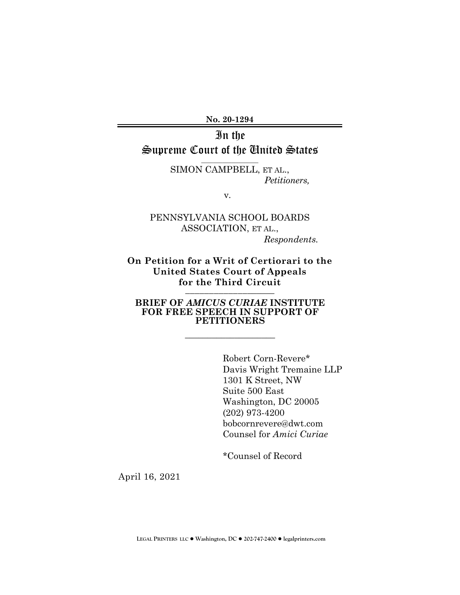**No. 20-1294** 

# In the Supreme Court of the United States

 $\mathcal{L}=\mathcal{L}$  , we can also the set of the set of the set of the set of the set of the set of the set of the set of the set of the set of the set of the set of the set of the set of the set of the set of the set of the s

SIMON CAMPBELL, ET AL., *Petitioners,* 

v.

### PENNSYLVANIA SCHOOL BOARDS ASSOCIATION, ET AL., *Respondents.*

#### **On Petition for a Writ of Certiorari to the United States Court of Appeals for the Third Circuit \_\_\_\_\_\_\_\_\_\_\_\_\_**\_\_\_\_\_\_

#### **BRIEF OF** *AMICUS CURIAE* **INSTITUTE FOR FREE SPEECH IN SUPPORT OF PETITIONERS**

**\_\_\_\_\_\_\_\_\_\_\_\_\_\_\_\_\_\_\_\_** 

Robert Corn-Revere\* Davis Wright Tremaine LLP 1301 K Street, NW Suite 500 East Washington, DC 20005 (202) 973-4200 bobcornrevere@dwt.com Counsel for *Amici Curiae*

\*Counsel of Record

April 16, 2021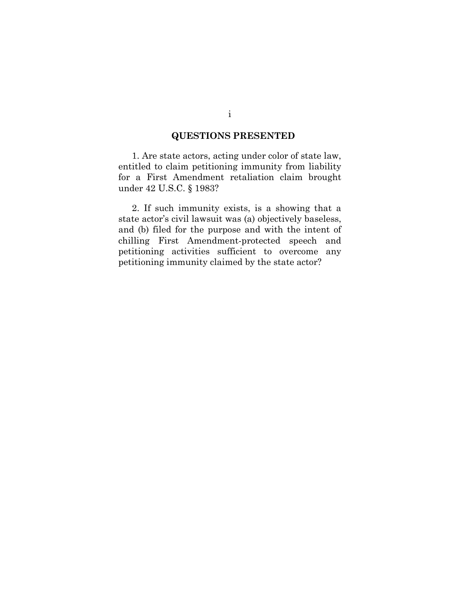### **QUESTIONS PRESENTED**

1. Are state actors, acting under color of state law, entitled to claim petitioning immunity from liability for a First Amendment retaliation claim brought under 42 U.S.C. § 1983?

2. If such immunity exists, is a showing that a state actor's civil lawsuit was (a) objectively baseless, and (b) filed for the purpose and with the intent of chilling First Amendment-protected speech and petitioning activities sufficient to overcome any petitioning immunity claimed by the state actor?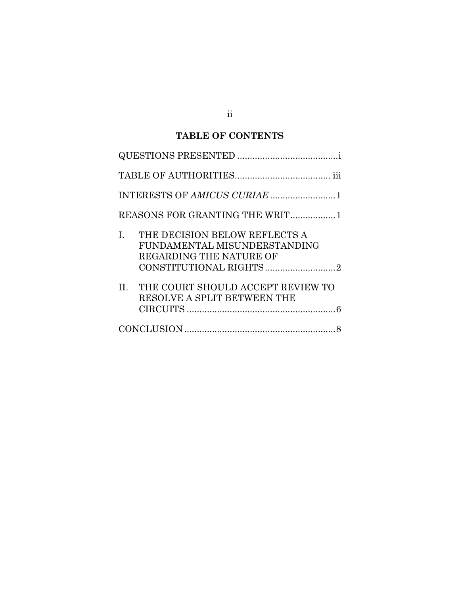## **TABLE OF CONTENTS**

| INTERESTS OF AMICUS CURIAE 1                                                                   |
|------------------------------------------------------------------------------------------------|
| REASONS FOR GRANTING THE WRIT1                                                                 |
| THE DECISION BELOW REFLECTS A<br>I.<br>FUNDAMENTAL MISUNDERSTANDING<br>REGARDING THE NATURE OF |
| II. THE COURT SHOULD ACCEPT REVIEW TO<br>RESOLVE A SPLIT BETWEEN THE                           |
|                                                                                                |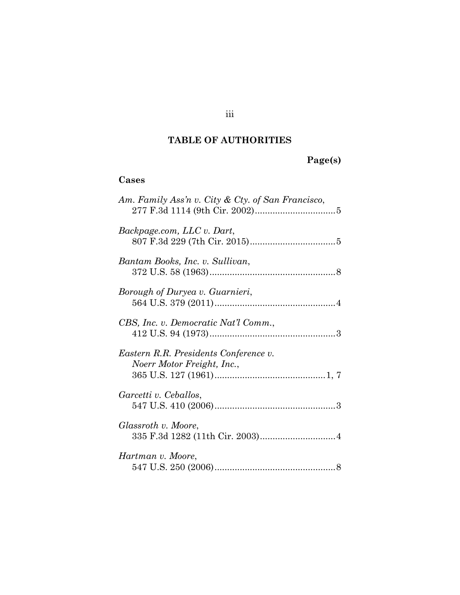### **TABLE OF AUTHORITIES**

## **Page(s)**

## **Cases**

| Am. Family Ass'n v. City & Cty. of San Francisco,                   |
|---------------------------------------------------------------------|
| Backpage.com, LLC v. Dart,                                          |
| Bantam Books, Inc. v. Sullivan,                                     |
| Borough of Duryea v. Guarnieri,                                     |
| CBS, Inc. v. Democratic Nat'l Comm.,                                |
| Eastern R.R. Presidents Conference v.<br>Noerr Motor Freight, Inc., |
| Garcetti v. Ceballos,                                               |
| Glassroth v. Moore,                                                 |
| Hartman v. Moore,                                                   |

## iii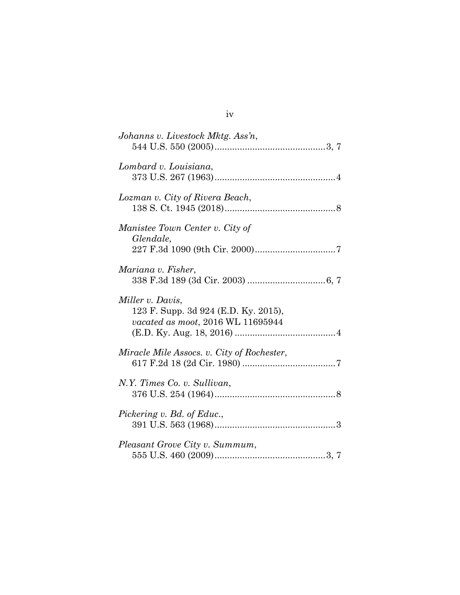iv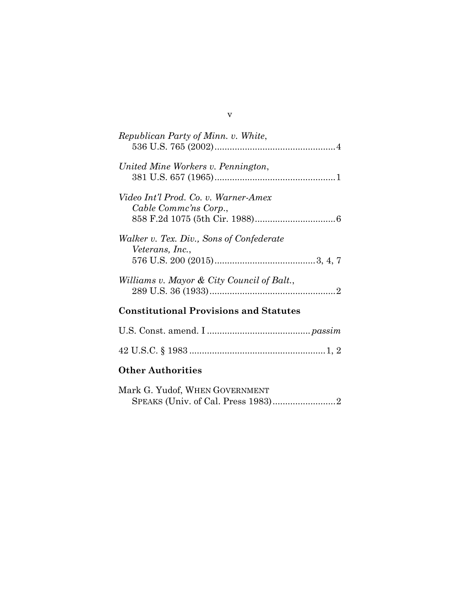| Republican Party of Minn. v. White,                           |  |  |
|---------------------------------------------------------------|--|--|
| United Mine Workers v. Pennington,                            |  |  |
| Video Int'l Prod. Co. v. Warner-Amex<br>Cable Commc'ns Corp., |  |  |
| Walker v. Tex. Div., Sons of Confederate<br>Veterans, Inc.,   |  |  |
| Williams v. Mayor & City Council of Balt.,                    |  |  |
| <b>Constitutional Provisions and Statutes</b>                 |  |  |
|                                                               |  |  |
|                                                               |  |  |
| <b>Other Authorities</b>                                      |  |  |

| Mark G. Yudof, WHEN GOVERNMENT |  |
|--------------------------------|--|
|                                |  |

v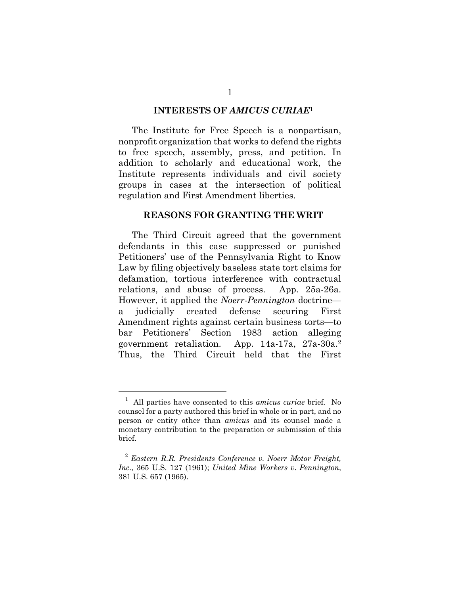#### **INTERESTS OF** *AMICUS CURIAE***<sup>1</sup>**

The Institute for Free Speech is a nonpartisan, nonprofit organization that works to defend the rights to free speech, assembly, press, and petition. In addition to scholarly and educational work, the Institute represents individuals and civil society groups in cases at the intersection of political regulation and First Amendment liberties.

#### **REASONS FOR GRANTING THE WRIT**

The Third Circuit agreed that the government defendants in this case suppressed or punished Petitioners' use of the Pennsylvania Right to Know Law by filing objectively baseless state tort claims for defamation, tortious interference with contractual relations, and abuse of process. App. 25a-26a. However, it applied the *Noerr-Pennington* doctrine a judicially created defense securing First Amendment rights against certain business torts—to bar Petitioners' Section 1983 action alleging government retaliation. App. 14a-17a, 27a-30a.<sup>2</sup> Thus, the Third Circuit held that the First

<sup>1</sup> All parties have consented to this *amicus curiae* brief. No counsel for a party authored this brief in whole or in part, and no person or entity other than *amicus* and its counsel made a monetary contribution to the preparation or submission of this brief.

<sup>2</sup> *Eastern R.R. Presidents Conference v. Noerr Motor Freight, Inc.,* 365 U.S. 127 (1961); *United Mine Workers v. Pennington*, 381 U.S. 657 (1965).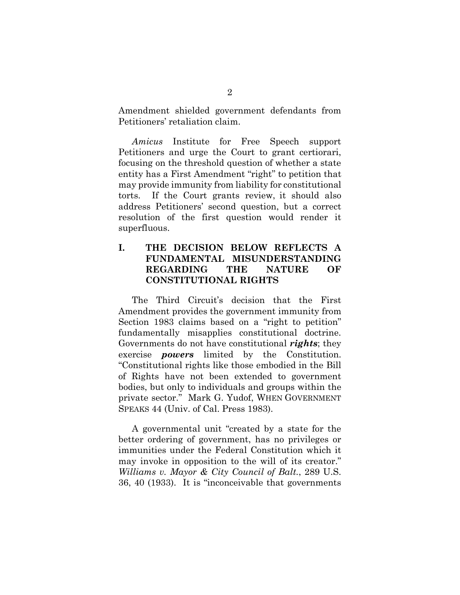Amendment shielded government defendants from Petitioners' retaliation claim.

*Amicus* Institute for Free Speech support Petitioners and urge the Court to grant certiorari, focusing on the threshold question of whether a state entity has a First Amendment "right" to petition that may provide immunity from liability for constitutional torts. If the Court grants review, it should also address Petitioners' second question, but a correct resolution of the first question would render it superfluous.

### **I. THE DECISION BELOW REFLECTS A FUNDAMENTAL MISUNDERSTANDING REGARDING THE NATURE OF CONSTITUTIONAL RIGHTS**

The Third Circuit's decision that the First Amendment provides the government immunity from Section 1983 claims based on a "right to petition" fundamentally misapplies constitutional doctrine. Governments do not have constitutional *rights*; they exercise *powers* limited by the Constitution. "Constitutional rights like those embodied in the Bill of Rights have not been extended to government bodies, but only to individuals and groups within the private sector." Mark G. Yudof, WHEN GOVERNMENT SPEAKS 44 (Univ. of Cal. Press 1983).

A governmental unit "created by a state for the better ordering of government, has no privileges or immunities under the Federal Constitution which it may invoke in opposition to the will of its creator." *Williams v. Mayor & City Council of Balt.*, 289 U.S. 36, 40 (1933). It is "inconceivable that governments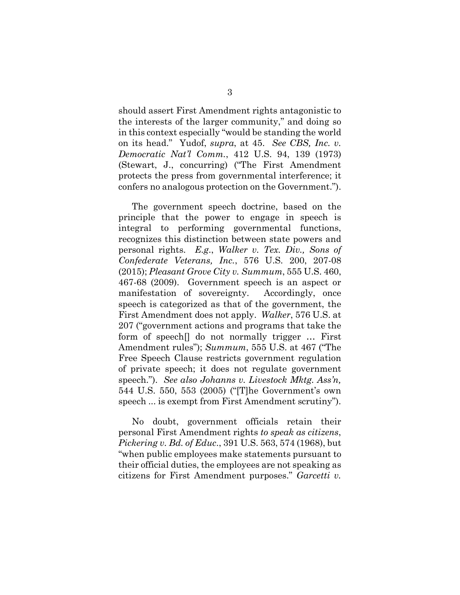should assert First Amendment rights antagonistic to the interests of the larger community," and doing so in this context especially "would be standing the world on its head." Yudof, *supra*, at 45. *See CBS, Inc. v. Democratic Nat'l Comm.*, 412 U.S. 94, 139 (1973) (Stewart, J., concurring) ("The First Amendment protects the press from governmental interference; it confers no analogous protection on the Government.").

The government speech doctrine, based on the principle that the power to engage in speech is integral to performing governmental functions, recognizes this distinction between state powers and personal rights. *E.g*., *Walker v. Tex. Div., Sons of Confederate Veterans, Inc.*, 576 U.S. 200, 207-08 (2015); *Pleasant Grove City v. Summum*, 555 U.S. 460, 467-68 (2009). Government speech is an aspect or manifestation of sovereignty. Accordingly, once speech is categorized as that of the government, the First Amendment does not apply. *Walker*, 576 U.S. at 207 ("government actions and programs that take the form of speech[] do not normally trigger … First Amendment rules"); *Summum*, 555 U.S. at 467 ("The Free Speech Clause restricts government regulation of private speech; it does not regulate government speech."). *See also Johanns v. Livestock Mktg. Ass'n,* 544 U.S. 550, 553 (2005) ("[T]he Government's own speech ... is exempt from First Amendment scrutiny").

No doubt, government officials retain their personal First Amendment rights *to speak as citizens*, *Pickering v. Bd. of Educ*., 391 U.S. 563, 574 (1968), but "when public employees make statements pursuant to their official duties, the employees are not speaking as citizens for First Amendment purposes." *Garcetti v.*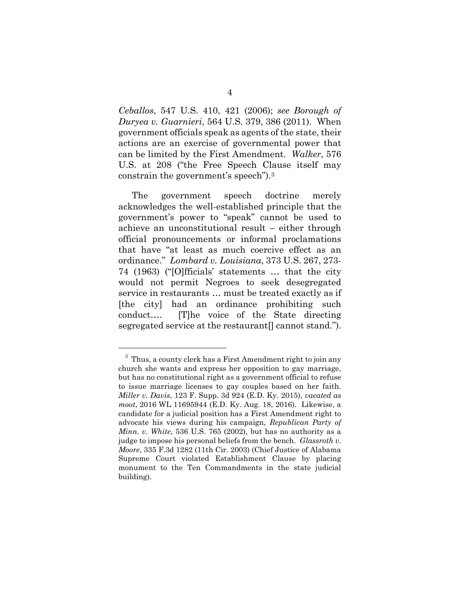*Ceballos*, 547 U.S. 410, 421 (2006); *see Borough of Duryea v. Guarnieri*, 564 U.S. 379, 386 (2011). When government officials speak as agents of the state, their actions are an exercise of governmental power that can be limited by the First Amendment. *Walker*, 576 U.S. at 208 ("the Free Speech Clause itself may constrain the government's speech").<sup>3</sup>

The government speech doctrine merely acknowledges the well-established principle that the government's power to "speak" cannot be used to achieve an unconstitutional result – either through official pronouncements or informal proclamations that have "at least as much coercive effect as an ordinance." *Lombard v. Louisiana*, 373 U.S. 267, 273- 74 (1963) ("[O]fficials' statements … that the city would not permit Negroes to seek desegregated service in restaurants … must be treated exactly as if [the city] had an ordinance prohibiting such conduct…. [T]he voice of the State directing segregated service at the restaurant. cannot stand."

 $3$  Thus, a county clerk has a First Amendment right to join any church she wants and express her opposition to gay marriage, but has no constitutional right as a government official to refuse to issue marriage licenses to gay couples based on her faith. *Miller v. Davis*, 123 F. Supp. 3d 924 (E.D. Ky. 2015), *vacated as moot*, 2016 WL 11695944 (E.D. Ky. Aug. 18, 2016). Likewise, a candidate for a judicial position has a First Amendment right to advocate his views during his campaign, *Republican Party of Minn. v. White*, 536 U.S. 765 (2002), but has no authority as a judge to impose his personal beliefs from the bench. *Glassroth v. Moore*, 335 F.3d 1282 (11th Cir. 2003) (Chief Justice of Alabama Supreme Court violated Establishment Clause by placing monument to the Ten Commandments in the state judicial building).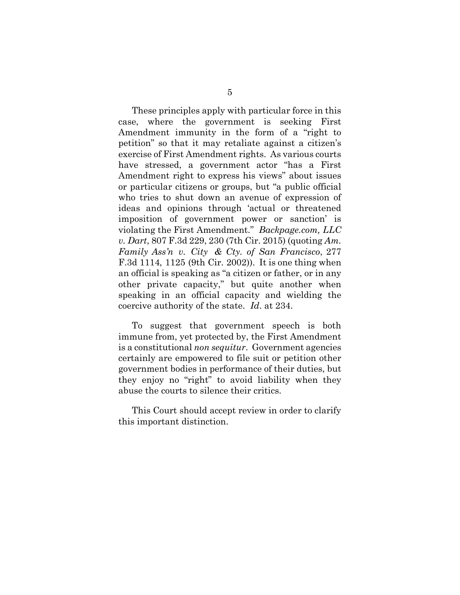These principles apply with particular force in this case, where the government is seeking First Amendment immunity in the form of a "right to petition" so that it may retaliate against a citizen's exercise of First Amendment rights. As various courts have stressed, a government actor "has a First Amendment right to express his views" about issues or particular citizens or groups, but "a public official who tries to shut down an avenue of expression of ideas and opinions through 'actual or threatened imposition of government power or sanction' is violating the First Amendment." *Backpage.com, LLC v. Dart*, 807 F.3d 229, 230 (7th Cir. 2015) (quoting *Am. Family Ass'n v. City & Cty. of San Francisco*, 277 F.3d 1114, 1125 (9th Cir. 2002)). It is one thing when an official is speaking as "a citizen or father, or in any other private capacity," but quite another when speaking in an official capacity and wielding the coercive authority of the state. *Id*. at 234.

To suggest that government speech is both immune from, yet protected by, the First Amendment is a constitutional *non sequitur*. Government agencies certainly are empowered to file suit or petition other government bodies in performance of their duties, but they enjoy no "right" to avoid liability when they abuse the courts to silence their critics.

This Court should accept review in order to clarify this important distinction.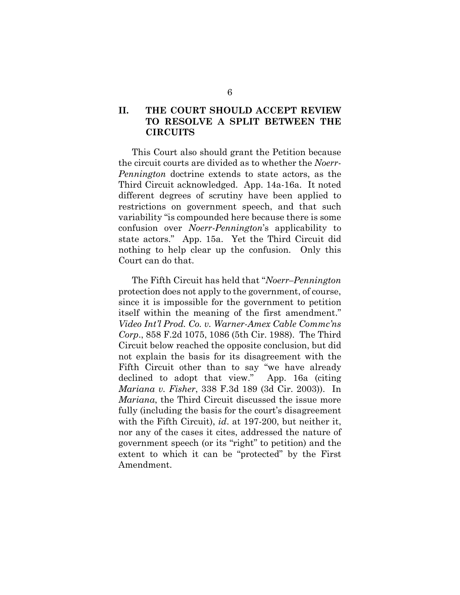### **II. THE COURT SHOULD ACCEPT REVIEW TO RESOLVE A SPLIT BETWEEN THE CIRCUITS**

This Court also should grant the Petition because the circuit courts are divided as to whether the *Noerr-Pennington* doctrine extends to state actors, as the Third Circuit acknowledged. App. 14a-16a. It noted different degrees of scrutiny have been applied to restrictions on government speech, and that such variability "is compounded here because there is some confusion over *Noerr-Pennington*'s applicability to state actors." App. 15a. Yet the Third Circuit did nothing to help clear up the confusion. Only this Court can do that.

The Fifth Circuit has held that "*Noerr–Pennington* protection does not apply to the government, of course, since it is impossible for the government to petition itself within the meaning of the first amendment." *Video Int'l Prod. Co. v. Warner-Amex Cable Commc'ns Corp*., 858 F.2d 1075, 1086 (5th Cir. 1988). The Third Circuit below reached the opposite conclusion, but did not explain the basis for its disagreement with the Fifth Circuit other than to say "we have already declined to adopt that view." App. 16a (citing *Mariana v. Fisher*, 338 F.3d 189 (3d Cir. 2003)). In *Mariana*, the Third Circuit discussed the issue more fully (including the basis for the court's disagreement with the Fifth Circuit), *id*. at 197-200, but neither it, nor any of the cases it cites, addressed the nature of government speech (or its "right" to petition) and the extent to which it can be "protected" by the First Amendment.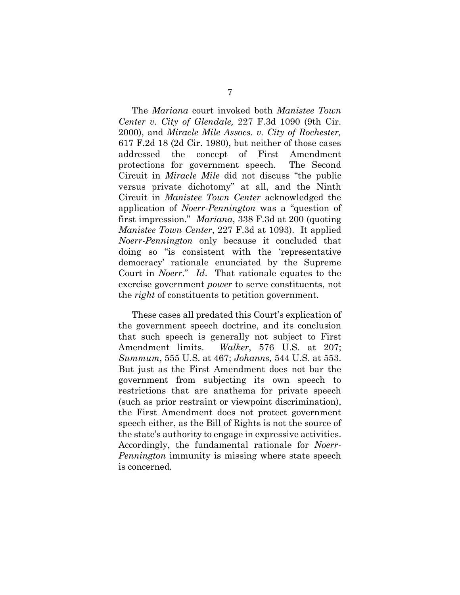The *Mariana* court invoked both *Manistee Town Center v. City of Glendale,* 227 F.3d 1090 (9th Cir. 2000), and *Miracle Mile Assocs. v. City of Rochester,* 617 F.2d 18 (2d Cir. 1980), but neither of those cases addressed the concept of First Amendment protections for government speech. The Second Circuit in *Miracle Mile* did not discuss "the public versus private dichotomy" at all, and the Ninth Circuit in *Manistee Town Center* acknowledged the application of *Noerr-Pennington* was a "question of first impression." *Mariana*, 338 F.3d at 200 (quoting *Manistee Town Center*, 227 F.3d at 1093). It applied *Noerr-Pennington* only because it concluded that doing so "is consistent with the 'representative democracy' rationale enunciated by the Supreme Court in *Noerr*." *Id*. That rationale equates to the exercise government *power* to serve constituents, not the *right* of constituents to petition government.

These cases all predated this Court's explication of the government speech doctrine, and its conclusion that such speech is generally not subject to First Amendment limits. *Walker*, 576 U.S. at 207; *Summum*, 555 U.S. at 467; *Johanns,* 544 U.S. at 553. But just as the First Amendment does not bar the government from subjecting its own speech to restrictions that are anathema for private speech (such as prior restraint or viewpoint discrimination), the First Amendment does not protect government speech either, as the Bill of Rights is not the source of the state's authority to engage in expressive activities. Accordingly, the fundamental rationale for *Noerr-Pennington* immunity is missing where state speech is concerned.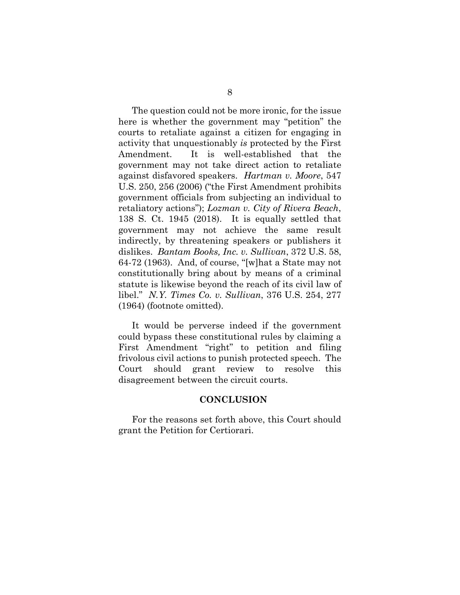The question could not be more ironic, for the issue here is whether the government may "petition" the courts to retaliate against a citizen for engaging in activity that unquestionably *is* protected by the First Amendment. It is well-established that the government may not take direct action to retaliate against disfavored speakers. *Hartman v. Moore*, 547 U.S. 250, 256 (2006) ("the First Amendment prohibits government officials from subjecting an individual to retaliatory actions"); *Lozman v. City of Rivera Beach*, 138 S. Ct. 1945 (2018). It is equally settled that government may not achieve the same result indirectly, by threatening speakers or publishers it dislikes. *Bantam Books, Inc. v. Sullivan*, 372 U.S. 58, 64-72 (1963). And, of course, "[w]hat a State may not constitutionally bring about by means of a criminal statute is likewise beyond the reach of its civil law of libel." *N.Y. Times Co. v. Sullivan*, 376 U.S. 254, 277 (1964) (footnote omitted).

It would be perverse indeed if the government could bypass these constitutional rules by claiming a First Amendment "right" to petition and filing frivolous civil actions to punish protected speech. The Court should grant review to resolve this disagreement between the circuit courts.

#### **CONCLUSION**

For the reasons set forth above, this Court should grant the Petition for Certiorari.